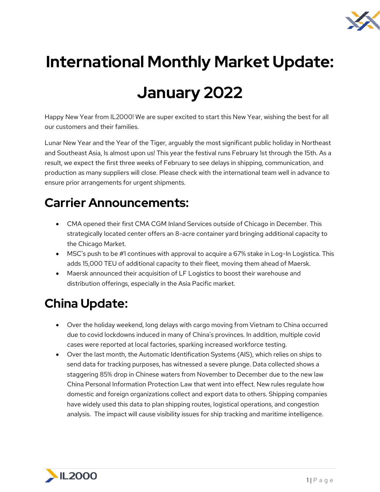

# **International Monthly Market Update:**

## **January 2022**

Happy New Year from IL2000! We are super excited to start this New Year, wishing the best for all our customers and their families.

Lunar New Year and the Year of the Tiger, arguably the most significant public holiday in Northeast and Southeast Asia, Is almost upon us! This year the festival runs February 1st through the 15th. As a result, we expect the first three weeks of February to see delays in shipping, communication, and production as many suppliers will close. Please check with the international team well in advance to ensure prior arrangements for urgent shipments.

#### **Carrier Announcements:**

- CMA opened their first CMA CGM Inland Services outside of Chicago in December. This strategically located center offers an 8-acre container yard bringing additional capacity to the Chicago Market.
- MSC's push to be #1 continues with approval to acquire a 67% stake in Log-In Logistica. This adds 15,000 TEU of additional capacity to their fleet, moving them ahead of Maersk.
- Maersk announced their acquisition of LF Logistics to boost their warehouse and distribution offerings, especially in the Asia Pacific market.

#### **China Update:**

- Over the holiday weekend, long delays with cargo moving from Vietnam to China occurred due to covid lockdowns induced in many of China's provinces. In addition, multiple covid cases were reported at local factories, sparking increased workforce testing.
- Over the last month, the Automatic Identification Systems (AIS), which relies on ships to send data for tracking purposes, has witnessed a severe plunge. Data collected shows a staggering 85% drop in Chinese waters from November to December due to the new law China Personal Information Protection Law that went into effect. New rules regulate how domestic and foreign organizations collect and export data to others. Shipping companies have widely used this data to plan shipping routes, logistical operations, and congestion analysis. The impact will cause visibility issues for ship tracking and maritime intelligence.